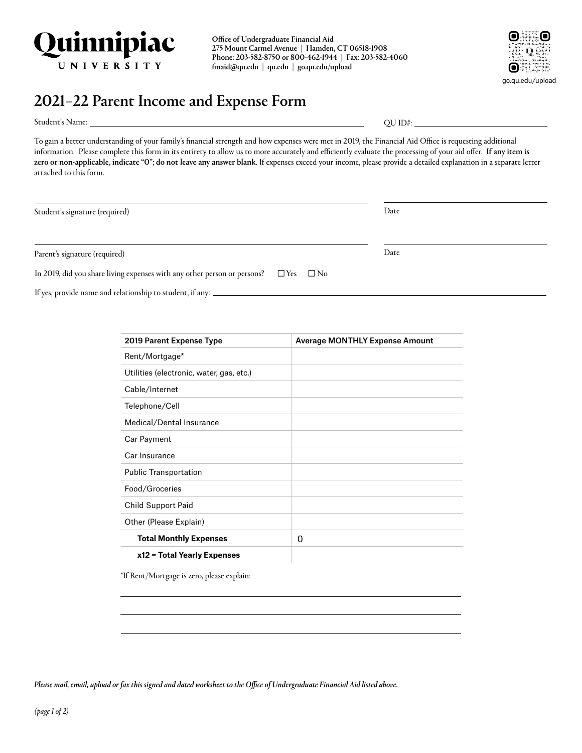

Office of Undergraduate Financial Aid 275 Mount Carmel Avenue | Hamden, CT 06518-1908 Phone: 203-582-8750 or 800-462-1944 | Fax: 203-582-4060 [finaid@qu.edu](mailto:finaid@quinnipiac.edu) | [qu.edu](http://qu.edu) | [go.qu.edu/upload](http://go.qu.edu/upload)



## 2021–22 Parent Income and Expense Form

Student's Name:

 $QUID$ #:  $\_$ 

To gain a better understanding of your family's financial strength and how expenses were met in 2019, the Financial Aid Office is requesting additional information. Please complete this form in its entirety to allow us to more accurately and efficiently evaluate the processing of your aid offer. If any item is zero or non-applicable, indicate "O"; do not leave any answer blank. If expenses exceed your income, please provide a detailed explanation in a separate letter attached to this form.

| Student's signature (required)                                                                      |  |  | Date |  |
|-----------------------------------------------------------------------------------------------------|--|--|------|--|
|                                                                                                     |  |  |      |  |
|                                                                                                     |  |  |      |  |
| Parent's signature (required)                                                                       |  |  | Date |  |
| In 2019, did you share living expenses with any other person or persons? $\square$ Yes $\square$ No |  |  |      |  |
| If yes, provide name and relationship to student, if any: _                                         |  |  |      |  |

| 2019 Parent Expense Type                 | <b>Average MONTHLY Expense Amount</b> |
|------------------------------------------|---------------------------------------|
| Rent/Mortgage*                           |                                       |
| Utilities (electronic, water, gas, etc.) |                                       |
| Cable/Internet                           |                                       |
| Telephone/Cell                           |                                       |
| Medical/Dental Insurance                 |                                       |
| Car Payment                              |                                       |
| Car Insurance                            |                                       |
| <b>Public Transportation</b>             |                                       |
| Food/Groceries                           |                                       |
| Child Support Paid                       |                                       |
| Other (Please Explain)                   |                                       |
| <b>Total Monthly Expenses</b>            | 0                                     |
| x12 = Total Yearly Expenses              |                                       |

\*If Rent/Mortgage is zero, please explain:

*Please mail, email, upload or fax this signed and dated worksheet to the Office of Undergraduate Financial Aid listed above.*